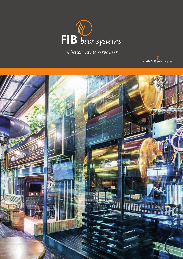

A better way to serve beer



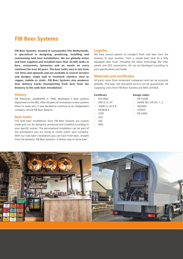# **FIB Beer Systems**

**FIB Beer Systems, located in Leeuwarden-The Netherlands, is specialised in designing, producing, installing and maintaining tank beer installations. We are globally active and have supplied and installed more than 20.000 tanks in bars, restaurants, breweries and on events on every continent for over 40 years. The beer tanks vary in size from 125 litres and upwards and are available in several versions and designs; single wall or insulated; stainless steel or copper, mobile or static. FIB Beer Systems also produces beer delivery trucks (transporting fresh beer from the brewery to the tank beer installation).** 

#### **History**

FIB Industries, established in 1946, developed a beer systems department in the 80s. After 40 years of innovations in beer systems (liners in tanks etc.) it was decided to continue as an independent company named FIB Beer Systems.

#### **Beer tanks**

The tank beer installations from FIB Beer Systems are custom made and can be designed, produced and installed according to your specific wishes. The personalised installation can be part of the atmosphere you are trying to create within your company. With our tank beer installations you can have fresh beer, straight from the brewery. FIB Beer Systems: 'A better way to serve beer'.

#### **Logistics**

We have several options to transport fresh cold beer from the brewery to your location. From a simple beer tank to a fully equipped beer truck, including the latest technology like solar panels and GPS connections. All can be developed according to your specifications and needs.

#### **Materials and certificates**

All parts come from renowned companies and can be acquired globally. This way, fast and good service can be guaranteed. All supplying units from FIB Beer Systems are MID certified.

#### **Certificats:**

- ISO 9001
- PED D, H, H1
- ASME U, U2 & R
- EN3834-2
- STEK
- $VCK$
- SQL
- MID

#### **Design codes:**

- EN-13445
- ADME SEC VIII Div. 1, 2
- AD2000
- CODAP
- PD-5500

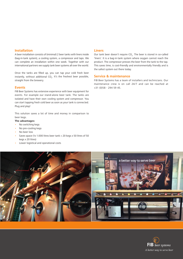#### **Installation**

A beer installation consists of (minimal) 2 beer tanks with liners inside (bag-in-tank system), a cooling system, a compressor and taps. We can complete an installation within one week. Together with our international partners we supply tank beer systems all over the world.

Once the tanks are filled up, you can tap your cold fresh beer instantly, without additional CO<sub>2</sub>. It's the freshest beer possible, straight from the brewery.

#### **Events**

FIB Beer Systems has extensive experience with beer equipment for events. For example our stand-alone beer tank. The tanks are isolated and have their own cooling system and compressor. You can start tapping fresh cold beer as soon as your tank is connected. Plug and play!

This solution saves a lot of time and money in comparison to beer kegs.

#### **The advantages:**

- No switching kegs
- No pre-cooling kegs
- No beer loss
- Saves space (1x 1.000 litres beer tank = 20 kegs x 50 litres of 50 kegs x 20 litres)
- Lower logistical and operational costs

#### **Liners**

Our tank beer doesn't require  $CO<sub>2</sub>$ . The beer is stored in so-called 'liners'. It is a bag-in-tank system where oxygen cannot reach the product. The compressor presses the beer from the tank to the tap. This saves time, is cost-friendly and environmentally friendly and is the safest system out there today.

#### **Service & maintenance**

FIB Beer Systems has a team of installers and technicians. Our maintenance crew is on call 24/7 and can be reached at +31 (0)58 - 294 59 45.